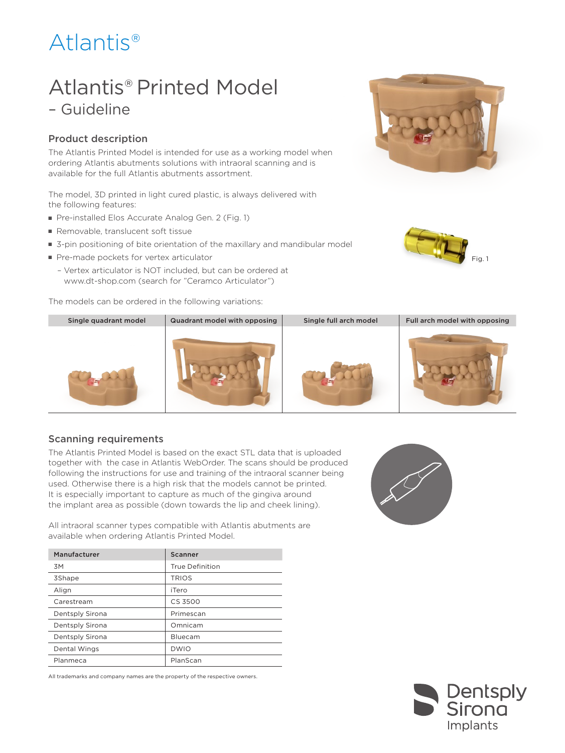# Atlantis®

## Atlantis® Printed Model – Guideline

### Product description

The Atlantis Printed Model is intended for use as a working model when ordering Atlantis abutments solutions with intraoral scanning and is available for the full Atlantis abutments assortment.

The model, 3D printed in light cured plastic, is always delivered with the following features:

- Pre-installed Elos Accurate Analog Gen. 2 (Fig. 1)
- Removable, translucent soft tissue
- 3-pin positioning of bite orientation of the maxillary and mandibular model
- Pre-made pockets for vertex articulator
	- Vertex articulator is NOT included, but can be ordered at www.dt-shop.com (search for "Ceramco Articulator")

The models can be ordered in the following variations:







#### Scanning requirements

The Atlantis Printed Model is based on the exact STL data that is uploaded together with the case in Atlantis WebOrder. The scans should be produced following the instructions for use and training of the intraoral scanner being used. Otherwise there is a high risk that the models cannot be printed. It is especially important to capture as much of the gingiva around the implant area as possible (down towards the lip and cheek lining).

All intraoral scanner types compatible with Atlantis abutments are available when ordering Atlantis Printed Model.

| Manufacturer    | Scanner                |
|-----------------|------------------------|
| 3M              | <b>True Definition</b> |
| 3Shape          | <b>TRIOS</b>           |
| Align           | iTero                  |
| Carestream      | CS 3500                |
| Dentsply Sirona | Primescan              |
| Dentsply Sirona | Omnicam                |
| Dentsply Sirona | Bluecam                |
| Dental Wings    | <b>DWIO</b>            |
| Planmeca        | PlanScan               |

All trademarks and company names are the property of the respective owners.